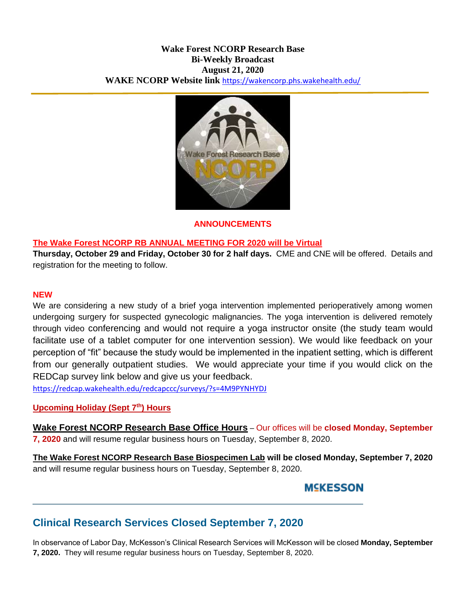## **Wake Forest NCORP Research Base Bi-Weekly Broadcast August 21, 2020 WAKE NCORP Website link** <https://wakencorp.phs.wakehealth.edu/>



## **ANNOUNCEMENTS**

## **The Wake Forest NCORP RB ANNUAL MEETING FOR 2020 will be Virtual**

**Thursday, October 29 and Friday, October 30 for 2 half days.** CME and CNE will be offered. Details and registration for the meeting to follow.

### **NEW**

We are considering a new study of a brief yoga intervention implemented perioperatively among women undergoing surgery for suspected gynecologic malignancies. The yoga intervention is delivered remotely through video conferencing and would not require a yoga instructor onsite (the study team would facilitate use of a tablet computer for one intervention session). We would like feedback on your perception of "fit" because the study would be implemented in the inpatient setting, which is different from our generally outpatient studies. We would appreciate your time if you would click on the REDCap survey link below and give us your feedback.

<https://redcap.wakehealth.edu/redcapccc/surveys/?s=4M9PYNHYDJ>

### **Upcoming Holiday (Sept 7th) Hours**

**Wake Forest NCORP Research Base Office Hours** – Our offices will be **closed Monday, September 7, 2020** and will resume regular business hours on Tuesday, September 8, 2020.

**The Wake Forest NCORP Research Base Biospecimen Lab will be closed Monday, September 7, 2020** and will resume regular business hours on Tuesday, September 8, 2020.

## **MSKESSON**

# **Clinical Research Services Closed September 7, 2020**

In observance of Labor Day, McKesson's Clinical Research Services will McKesson will be closed **Monday, September 7, 2020.** They will resume regular business hours on Tuesday, September 8, 2020.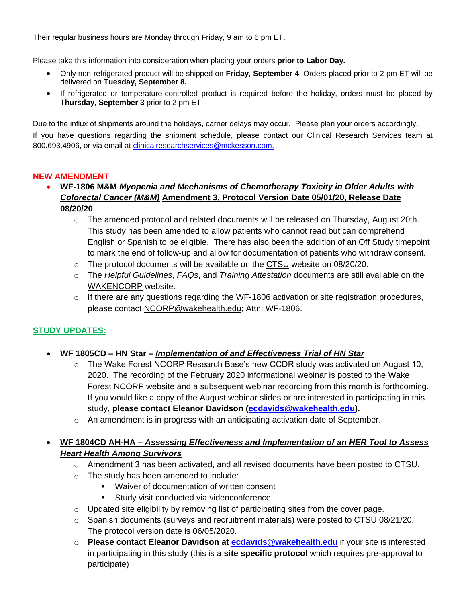Their regular business hours are Monday through Friday, 9 am to 6 pm ET.

Please take this information into consideration when placing your orders **prior to Labor Day.**

- Only non-refrigerated product will be shipped on **Friday, September 4**. Orders placed prior to 2 pm ET will be delivered on **Tuesday, September 8.**
- If refrigerated or temperature-controlled product is required before the holiday, orders must be placed by **Thursday, September 3** prior to 2 pm ET.

Due to the influx of shipments around the holidays, carrier delays may occur. Please plan your orders accordingly. If you have questions regarding the shipment schedule, please contact our Clinical Research Services team at 800.693.4906, or via email at *clinicalresearchservices@mckesson.com.* 

### **NEW AMENDMENT**

## **WF-1806 M&M** *Myopenia and Mechanisms of Chemotherapy Toxicity in Older Adults with Colorectal Cancer (M&M)* **Amendment 3, Protocol Version Date 05/01/20, Release Date 08/20/20**

- $\circ$  The amended protocol and related documents will be released on Thursday, August 20th. This study has been amended to allow patients who cannot read but can comprehend English or Spanish to be eligible. There has also been the addition of an Off Study timepoint to mark the end of follow-up and allow for documentation of patients who withdraw consent.
- $\circ$  The protocol documents will be available on the [CTSU](https://www.ctsu.org/Public/Default.aspx?ReturnUrl=%2f) website on 08/20/20.
- o The *Helpful Guidelines*, *FAQs*, and *Training Attestation* documents are still available on the [WAKENCORP](https://wakencorp.phs.wakehealth.edu/) website.
- o If there are any questions regarding the WF-1806 activation or site registration procedures, please contact [NCORP@wakehealth.edu;](mailto:NCORP@wakehealth.edu) Attn: WF-1806.

## **STUDY UPDATES:**

- **WF 1805CD – HN Star –** *Implementation of and Effectiveness Trial of HN Star*
	- o The Wake Forest NCORP Research Base's new CCDR study was activated on August 10, 2020. The recording of the February 2020 informational webinar is posted to the Wake Forest NCORP website and a subsequent webinar recording from this month is forthcoming. If you would like a copy of the August webinar slides or are interested in participating in this study, **please contact Eleanor Davidson [\(ecdavids@wakehealth.edu\)](mailto:ecdavids@wakehealth.edu).**
	- $\circ$  An amendment is in progress with an anticipating activation date of September.

## **WF 1804CD AH-HA –** *Assessing Effectiveness and Implementation of an HER Tool to Assess Heart Health Among Survivors*

- o Amendment 3 has been activated, and all revised documents have been posted to CTSU.
- o The study has been amended to include:
	- **Waiver of documentation of written consent**
	- **Study visit conducted via videoconference**
- $\circ$  Updated site eligibility by removing list of participating sites from the cover page.
- $\circ$  Spanish documents (surveys and recruitment materials) were posted to CTSU 08/21/20. The protocol version date is 06/05/2020.
- o **Please contact Eleanor Davidson at [ecdavids@wakehealth.edu](mailto:ecdavids@wakehealth.edu)** if your site is interested in participating in this study (this is a **site specific protocol** which requires pre-approval to participate)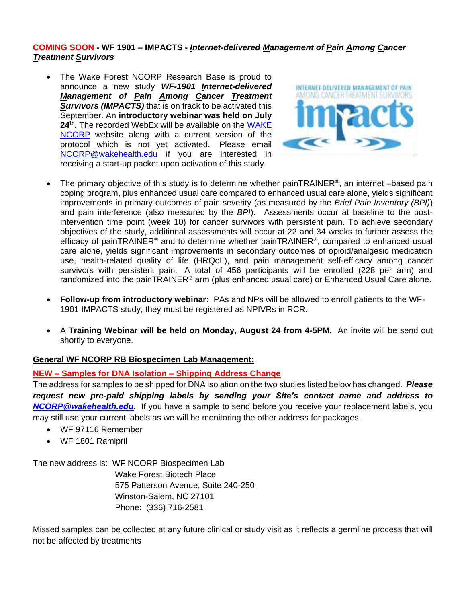### **COMING SOON - WF 1901 – IMPACTS -** *Internet-delivered Management of Pain Among Cancer Treatment Survivors*

 The Wake Forest NCORP Research Base is proud to announce a new study *WF-1901 Internet-delivered Management of Pain Among Cancer Treatment Survivors (IMPACTS)* that is on track to be activated this September. An **introductory webinar was held on July 24th .** The recorded WebEx will be available on the [WAKE](https://wakencorp.phs.wakehealth.edu/)  [NCORP](https://wakencorp.phs.wakehealth.edu/) website along with a current version of the protocol which is not yet activated. Please email [NCORP@wakehealth.edu](mailto:NCORP@wakehealth.edu) if you are interested in receiving a start-up packet upon activation of this study.



- The primary objective of this study is to determine whether painTRAINER<sup>®</sup>, an internet –based pain coping program, plus enhanced usual care compared to enhanced usual care alone, yields significant improvements in primary outcomes of pain severity (as measured by the *Brief Pain Inventory (BPI)*) and pain interference (also measured by the *BPI*). Assessments occur at baseline to the postintervention time point (week 10) for cancer survivors with persistent pain. To achieve secondary objectives of the study, additional assessments will occur at 22 and 34 weeks to further assess the efficacy of painTRAINER<sup>®</sup> and to determine whether painTRAINER<sup>®</sup>, compared to enhanced usual care alone, yields significant improvements in secondary outcomes of opioid/analgesic medication use, health-related quality of life (HRQoL), and pain management self-efficacy among cancer survivors with persistent pain. A total of 456 participants will be enrolled (228 per arm) and randomized into the painTRAINER® arm (plus enhanced usual care) or Enhanced Usual Care alone.
- **Follow-up from introductory webinar:** PAs and NPs will be allowed to enroll patients to the WF-1901 IMPACTS study; they must be registered as NPIVRs in RCR.
- A **Training Webinar will be held on Monday, August 24 from 4-5PM.** An invite will be send out shortly to everyone.

### **General WF NCORP RB Biospecimen Lab Management:**

## **NEW – Samples for DNA Isolation – Shipping Address Change**

The address for samples to be shipped for DNA isolation on the two studies listed below has changed. *Please request new pre-paid shipping labels by sending your Site's contact name and address to [NCORP@wakehealth.edu.](mailto:NCORP@wakehealth.edu)* If you have a sample to send before you receive your replacement labels, you may still use your current labels as we will be monitoring the other address for packages.

- WF 97116 Remember
- WF 1801 Ramipril

The new address is: WF NCORP Biospecimen Lab

Wake Forest Biotech Place 575 Patterson Avenue, Suite 240-250 Winston-Salem, NC 27101 Phone: (336) 716-2581

Missed samples can be collected at any future clinical or study visit as it reflects a germline process that will not be affected by treatments